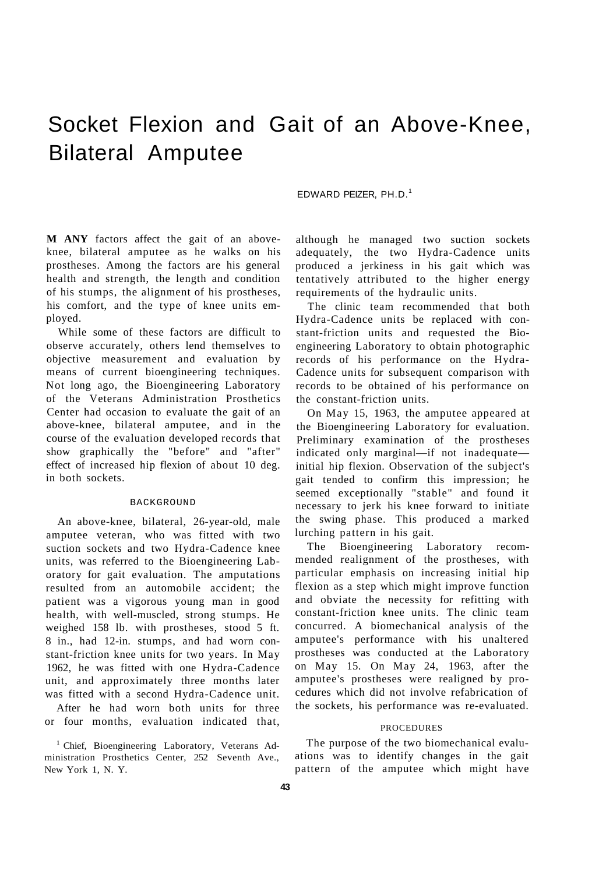# Socket Flexion and Gait of an Above-Knee, Bilateral Amputee

## EDWARD PEIZER, PH.D.<sup>1</sup>

**M ANY** factors affect the gait of an aboveknee, bilateral amputee as he walks on his prostheses. Among the factors are his general health and strength, the length and condition of his stumps, the alignment of his prostheses, his comfort, and the type of knee units employed.

While some of these factors are difficult to observe accurately, others lend themselves to objective measurement and evaluation by means of current bioengineering techniques. Not long ago, the Bioengineering Laboratory of the Veterans Administration Prosthetics Center had occasion to evaluate the gait of an above-knee, bilateral amputee, and in the course of the evaluation developed records that show graphically the "before" and "after" effect of increased hip flexion of about 10 deg. in both sockets.

#### BACKGROUND

An above-knee, bilateral, 26-year-old, male amputee veteran, who was fitted with two suction sockets and two Hydra-Cadence knee units, was referred to the Bioengineering Laboratory for gait evaluation. The amputations resulted from an automobile accident; the patient was a vigorous young man in good health, with well-muscled, strong stumps. He weighed 158 lb. with prostheses, stood 5 ft. 8 in., had 12-in. stumps, and had worn constant-friction knee units for two years. In May 1962, he was fitted with one Hydra-Cadence unit, and approximately three months later was fitted with a second Hydra-Cadence unit. After he had worn both units for three or four months, evaluation indicated that,

<sup>1</sup> Chief, Bioengineering Laboratory, Veterans Administration Prosthetics Center, 252 Seventh Ave.,

New York 1, N. Y.

although he managed two suction sockets adequately, the two Hydra-Cadence units produced a jerkiness in his gait which was tentatively attributed to the higher energy requirements of the hydraulic units.

The clinic team recommended that both Hydra-Cadence units be replaced with constant-friction units and requested the Bioengineering Laboratory to obtain photographic records of his performance on the Hydra-Cadence units for subsequent comparison with records to be obtained of his performance on the constant-friction units.

On May 15, 1963, the amputee appeared at the Bioengineering Laboratory for evaluation. Preliminary examination of the prostheses indicated only marginal—if not inadequate initial hip flexion. Observation of the subject's gait tended to confirm this impression; he seemed exceptionally "stable" and found it necessary to jerk his knee forward to initiate the swing phase. This produced a marked lurching pattern in his gait.

The Bioengineering Laboratory recommended realignment of the prostheses, with particular emphasis on increasing initial hip flexion as a step which might improve function and obviate the necessity for refitting with constant-friction knee units. The clinic team concurred. A biomechanical analysis of the amputee's performance with his unaltered prostheses was conducted at the Laboratory on May 15. On May 24, 1963, after the amputee's prostheses were realigned by procedures which did not involve refabrication of the sockets, his performance was re-evaluated.

#### PROCEDURES

The purpose of the two biomechanical evaluations was to identify changes in the gait pattern of the amputee which might have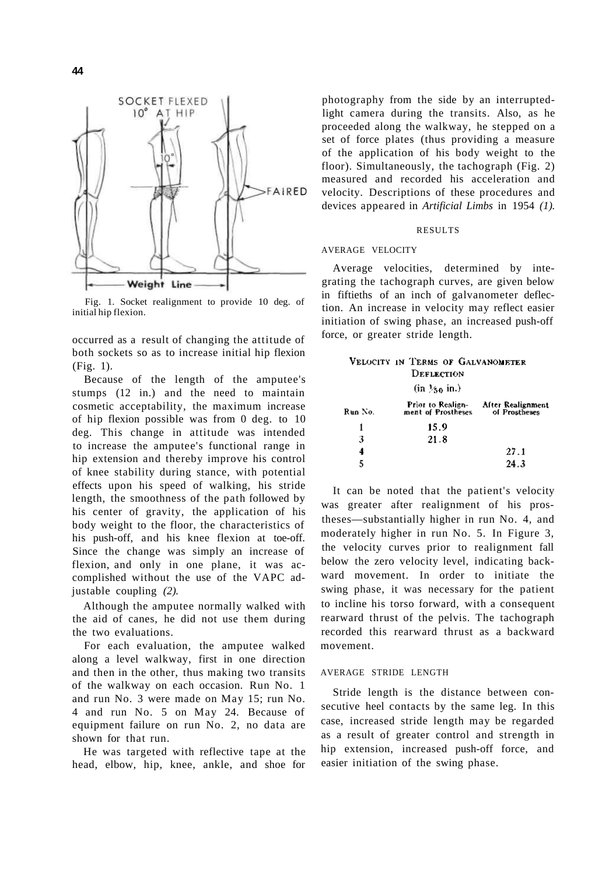

Fig. 1. Socket realignment to provide 10 deg. of initial hip flexion.

occurred as a result of changing the attitude of both sockets so as to increase initial hip flexion (Fig. 1).

Because of the length of the amputee's stumps (12 in.) and the need to maintain cosmetic acceptability, the maximum increase of hip flexion possible was from 0 deg. to 10 deg. This change in attitude was intended to increase the amputee's functional range in hip extension and thereby improve his control of knee stability during stance, with potential effects upon his speed of walking, his stride length, the smoothness of the path followed by his center of gravity, the application of his body weight to the floor, the characteristics of his push-off, and his knee flexion at toe-off. Since the change was simply an increase of flexion, and only in one plane, it was accomplished without the use of the VAPC adjustable coupling *(2).* 

Although the amputee normally walked with the aid of canes, he did not use them during the two evaluations.

For each evaluation, the amputee walked along a level walkway, first in one direction and then in the other, thus making two transits of the walkway on each occasion. Run No. 1 and run No. 3 were made on May 15; run No. 4 and run No. 5 on May 24. Because of equipment failure on run No. 2, no data are shown for that run.

He was targeted with reflective tape at the head, elbow, hip, knee, ankle, and shoe for photography from the side by an interruptedlight camera during the transits. Also, as he proceeded along the walkway, he stepped on a set of force plates (thus providing a measure of the application of his body weight to the floor). Simultaneously, the tachograph (Fig. 2) measured and recorded his acceleration and velocity. Descriptions of these procedures and devices appeared in *Artificial Limbs* in 1954 *(1).* 

## RESULTS

## AVERAGE VELOCITY

Average velocities, determined by integrating the tachograph curves, are given below in fiftieths of an inch of galvanometer deflection. An increase in velocity may reflect easier initiation of swing phase, an increased push-off force, or greater stride length.

|         | Velocity in Terms of Galvanometer<br>DEFLECTION       |      |
|---------|-------------------------------------------------------|------|
|         | $(in \frac{1}{20} in.)$                               |      |
| Run No. | Prior to Realign-<br>ment of Prostheses of Prostheses |      |
|         | 15.9                                                  |      |
| з       | 21.8                                                  |      |
| 4       |                                                       | 27.1 |
|         |                                                       | 24.3 |

It can be noted that the patient's velocity was greater after realignment of his prostheses—substantially higher in run No. 4, and moderately higher in run No. 5. In Figure 3, the velocity curves prior to realignment fall below the zero velocity level, indicating backward movement. In order to initiate the swing phase, it was necessary for the patient to incline his torso forward, with a consequent rearward thrust of the pelvis. The tachograph recorded this rearward thrust as a backward movement.

## AVERAGE STRIDE LENGTH

Stride length is the distance between consecutive heel contacts by the same leg. In this case, increased stride length may be regarded as a result of greater control and strength in hip extension, increased push-off force, and easier initiation of the swing phase.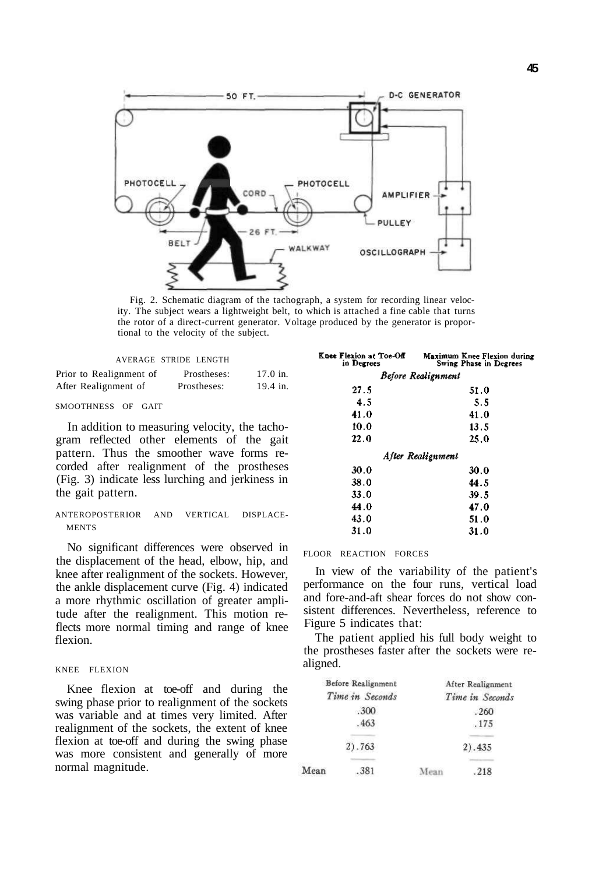

Fig. 2. Schematic diagram of the tachograph, a system for recording linear velocity. The subject wears a lightweight belt, to which is attached a fine cable that turns the rotor of a direct-current generator. Voltage produced by the generator is proportional to the velocity of the subject.

**K**ne

|                         | AVERAGE STRIDE LENGTH |            |
|-------------------------|-----------------------|------------|
| Prior to Realignment of | Prostheses:           | $17.0$ in. |
| After Realignment of    | Prostheses:           | 19.4 in.   |

## SMOOTHNESS OF GAIT

In addition to measuring velocity, the tachogram reflected other elements of the gait pattern. Thus the smoother wave forms recorded after realignment of the prostheses (Fig. 3) indicate less lurching and jerkiness in the gait pattern.

## ANTEROPOSTERIOR AND VERTICAL DISPLACE-**MENTS**

No significant differences were observed in the displacement of the head, elbow, hip, and knee after realignment of the sockets. However, the ankle displacement curve (Fig. 4) indicated a more rhythmic oscillation of greater amplitude after the realignment. This motion reflects more normal timing and range of knee flexion.

## KNEE FLEXION

Knee flexion at toe-off and during the swing phase prior to realignment of the sockets was variable and at times very limited. After realignment of the sockets, the extent of knee flexion at toe-off and during the swing phase was more consistent and generally of more normal magnitude.

| e Flexion at Toe-Off<br>in Degrees | Maximum Knee Flexion during<br>Swing Phase in Degrees |
|------------------------------------|-------------------------------------------------------|
|                                    | Before Realignment                                    |
| 27.5                               | 51.0                                                  |
| 4.5                                | 5.5                                                   |
| 41.0                               | 41.0                                                  |
| 10.0                               | 13.5                                                  |
| 22.0                               | 25.0                                                  |
|                                    | After Realignment                                     |
| 30.0                               | 30.0                                                  |
| 38.0                               | 44.5                                                  |
| 33.0                               | 39.5                                                  |
| 44.0                               | 47.0                                                  |
| 43.0                               | 51.0                                                  |
| 31.0                               | 31.0                                                  |

## FLOOR REACTION FORCES

In view of the variability of the patient's performance on the four runs, vertical load and fore-and-aft shear forces do not show consistent differences. Nevertheless, reference to Figure 5 indicates that:

The patient applied his full body weight to the prostheses faster after the sockets were realigned.

| <b>Before Realignment</b><br>Time in Seconds |      | After Realignment |         |
|----------------------------------------------|------|-------------------|---------|
|                                              |      | Time in Seconds   |         |
| .300                                         |      |                   | .260    |
|                                              | .463 |                   | .175    |
| 2) .763                                      |      |                   | 2) .435 |
| Mean                                         | .381 |                   | .218    |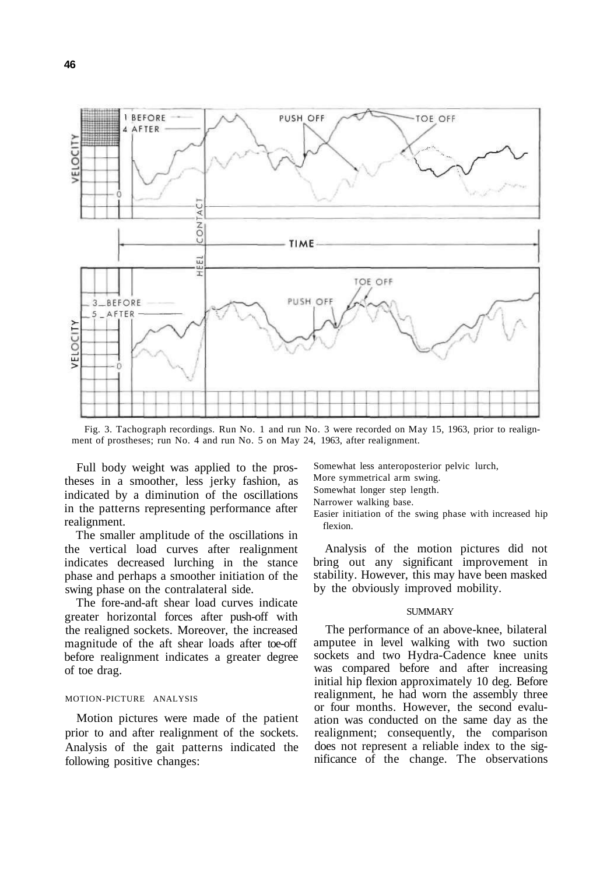

Fig. 3. Tachograph recordings. Run No. 1 and run No. 3 were recorded on May 15, 1963, prior to realignment of prostheses; run No. 4 and run No. 5 on May 24, 1963, after realignment.

Full body weight was applied to the prostheses in a smoother, less jerky fashion, as indicated by a diminution of the oscillations in the patterns representing performance after realignment.

The smaller amplitude of the oscillations in the vertical load curves after realignment indicates decreased lurching in the stance phase and perhaps a smoother initiation of the swing phase on the contralateral side.

The fore-and-aft shear load curves indicate greater horizontal forces after push-off with the realigned sockets. Moreover, the increased magnitude of the aft shear loads after toe-off before realignment indicates a greater degree of toe drag.

## MOTION-PICTURE ANALYSIS

Motion pictures were made of the patient prior to and after realignment of the sockets. Analysis of the gait patterns indicated the following positive changes:

Somewhat less anteroposterior pelvic lurch, More symmetrical arm swing. Somewhat longer step length. Narrower walking base.

Easier initiation of the swing phase with increased hip flexion.

Analysis of the motion pictures did not bring out any significant improvement in stability. However, this may have been masked by the obviously improved mobility.

#### **SUMMARY**

The performance of an above-knee, bilateral amputee in level walking with two suction sockets and two Hydra-Cadence knee units was compared before and after increasing initial hip flexion approximately 10 deg. Before realignment, he had worn the assembly three or four months. However, the second evaluation was conducted on the same day as the realignment; consequently, the comparison does not represent a reliable index to the significance of the change. The observations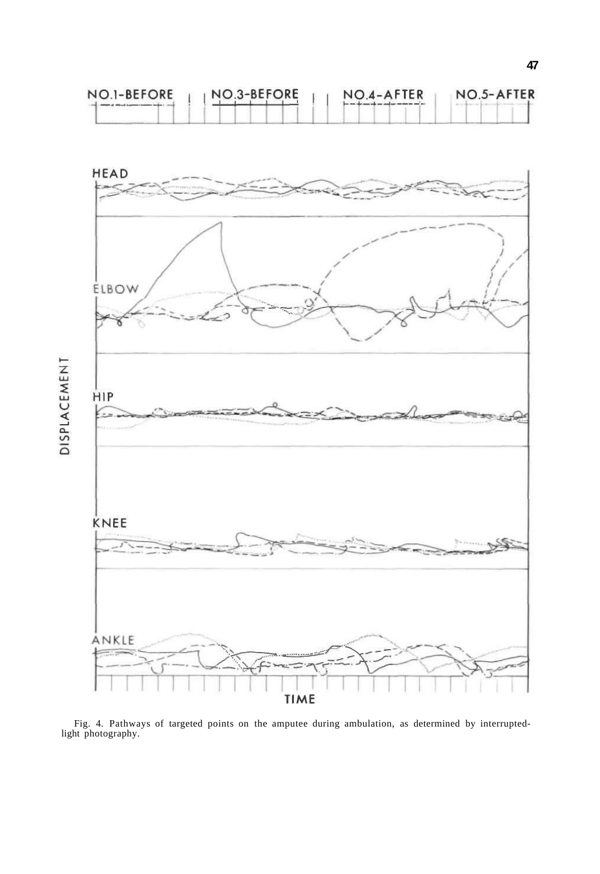



Fig. 4. Pathways of targeted points on the amputee during ambulation, as determined by interruptedlight photography.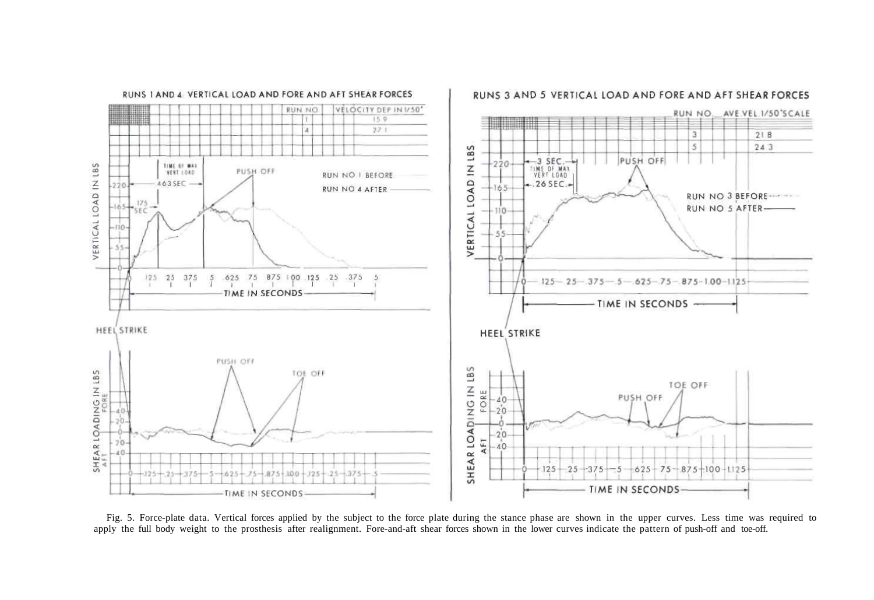

Fig. 5. Force-plate data. Vertical forces applied by the subject to the force plate during the stance phase are shown in the upper curves. Less time was required to apply the full body weight to the prosthesis after realignment. Fore-and-aft shear forces shown in the lower curves indicate the pattern of push-off and toe-off.